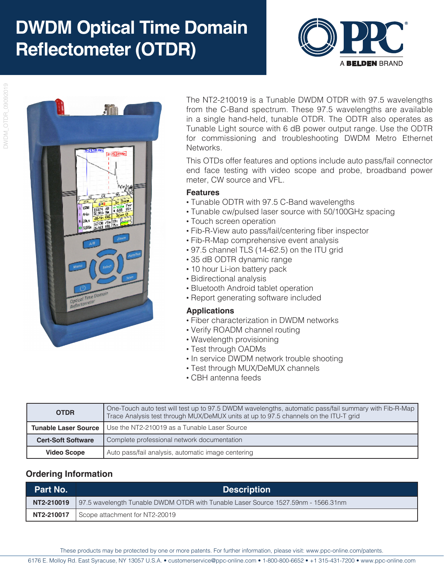# **DWDM Optical Time Domain Reflectometer (OTDR)**





The NT2-210019 is a Tunable DWDM OTDR with 97.5 wavelengths from the C-Band spectrum. These 97.5 wavelengths are available in a single hand-held, tunable OTDR. The ODTR also operates as Tunable Light source with 6 dB power output range. Use the ODTR for commissioning and troubleshooting DWDM Metro Ethernet Networks.

This OTDs offer features and options include auto pass/fail connector end face testing with video scope and probe, broadband power meter, CW source and VFL.

#### **Features**

- Tunable ODTR with 97.5 C-Band wavelengths
- Tunable cw/pulsed laser source with 50/100GHz spacing
- Touch screen operation
- Fib-R-View auto pass/fail/centering fiber inspector
- Fib-R-Map comprehensive event analysis
- 97.5 channel TLS (14-62.5) on the ITU grid
- 35 dB ODTR dynamic range
- 10 hour Li-ion battery pack
- Bidirectional analysis
- Bluetooth Android tablet operation
- Report generating software included

#### **Applications**

- Fiber characterization in DWDM networks
- Verify ROADM channel routing
- Wavelength provisioning
- Test through OADMs
- In service DWDM network trouble shooting
- Test through MUX/DeMUX channels
- CBH antenna feeds

| <b>OTDR</b>                 | One-Touch auto test will test up to 97.5 DWDM wavelengths, automatic pass/fail summary with Fib-R-Map<br>Trace Analysis test through MUX/DeMUX units at up to 97.5 channels on the ITU-T grid |  |
|-----------------------------|-----------------------------------------------------------------------------------------------------------------------------------------------------------------------------------------------|--|
| <b>Tunable Laser Source</b> | Use the NT2-210019 as a Tunable Laser Source                                                                                                                                                  |  |
| <b>Cert-Soft Software</b>   | Complete professional network documentation                                                                                                                                                   |  |
| <b>Video Scope</b>          | Auto pass/fail analysis, automatic image centering                                                                                                                                            |  |

### **Ordering Information**

| <b>Part No.</b> | <b>Description</b>                                                                             |
|-----------------|------------------------------------------------------------------------------------------------|
|                 | NT2-210019   97.5 wavelength Tunable DWDM OTDR with Tunable Laser Source 1527.59nm - 1566.31nm |
|                 | <b>NT2-210017</b> Scope attachment for NT2-20019                                               |

6176 E. Molloy Rd. East Syracuse, NY 13057 U.S.A. • customerservice@ppc-online.com • 1-800-800-6652 • +1 315-431-7200 • www.ppc-online.com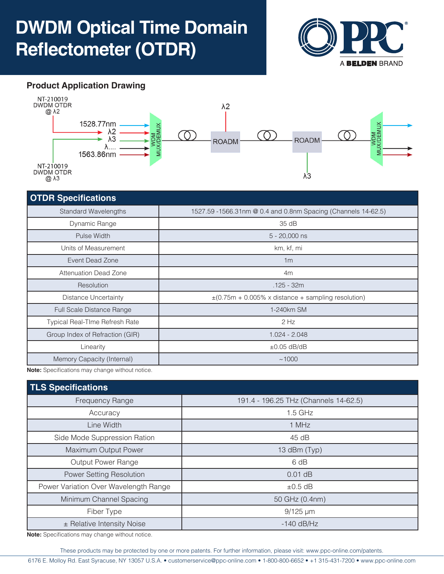## **DWDM Optical Time Domain Reflectometer (OTDR)**



## **Product Application Drawing**



#### **OTDR Specifications**

| <b>Standard Wavelengths</b>     | 1527.59 - 1566.31nm @ 0.4 and 0.8nm Spacing (Channels 14-62.5) |
|---------------------------------|----------------------------------------------------------------|
| Dynamic Range                   | 35 dB                                                          |
| Pulse Width                     | $5 - 20,000$ ns                                                |
| Units of Measurement            | km, kf, mi                                                     |
| Event Dead Zone                 | 1 <sub>m</sub>                                                 |
| <b>Attenuation Dead Zone</b>    | 4m                                                             |
| Resolution                      | $.125 - 32m$                                                   |
| Distance Uncertainty            | $\pm$ (0.75m + 0.005% x distance + sampling resolution)        |
| Full Scale Distance Range       | 1-240km SM                                                     |
| Typical Real-TIme Refresh Rate  | $2$ Hz                                                         |
| Group Index of Refraction (GIR) | $1.024 - 2.048$                                                |
| Linearity                       | $\pm 0.05$ dB/dB                                               |
| Memory Capacity (Internal)      | ~1000                                                          |

**Note:** Specifications may change without notice.

| <b>TLS Specifications</b>             |                                       |  |  |  |
|---------------------------------------|---------------------------------------|--|--|--|
| <b>Frequency Range</b>                | 191.4 - 196.25 THz (Channels 14-62.5) |  |  |  |
| Accuracy                              | $1.5$ GHz                             |  |  |  |
| Line Width                            | 1 MHz                                 |  |  |  |
| Side Mode Suppression Ration          | 45 dB                                 |  |  |  |
| Maximum Output Power                  | 13 dBm (Typ)                          |  |  |  |
| Output Power Range                    | 6 dB                                  |  |  |  |
| Power Setting Resolution              | $0.01$ dB                             |  |  |  |
| Power Variation Over Wavelength Range | $\pm 0.5$ dB                          |  |  |  |
| Minimum Channel Spacing               | 50 GHz (0.4nm)                        |  |  |  |
| Fiber Type                            | $9/125 \mu m$                         |  |  |  |
| ± Relative Intensity Noise            | $-140$ dB/Hz                          |  |  |  |
| $\blacksquare$                        |                                       |  |  |  |

**Note:** Specifications may change without notice.

These products may be protected by one or more patents. For further information, please visit: www.ppc-online.com/patents.